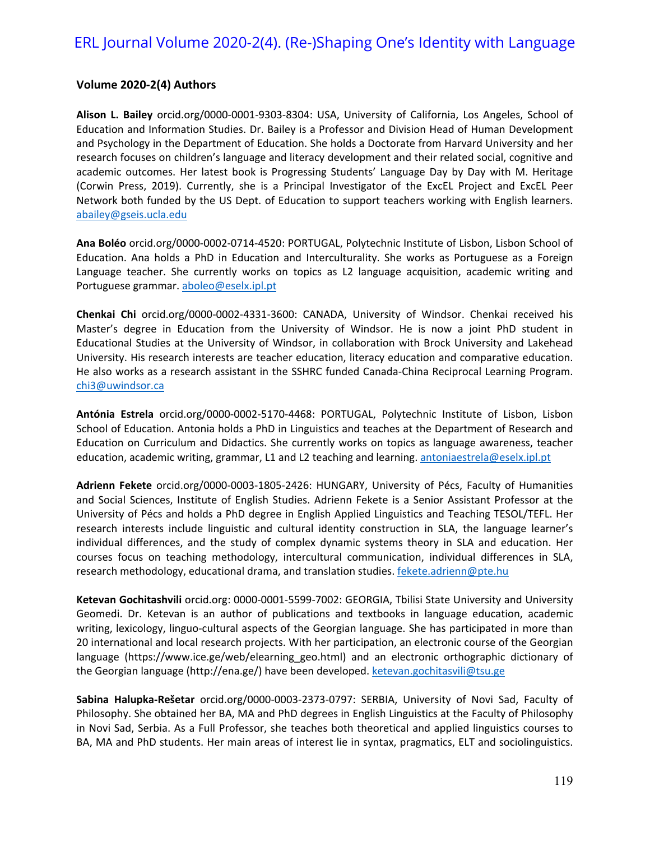## ERL Journal Volume 2020-2(4). (Re-)Shaping One's Identity with Language

## **Volume 2020-2(4) Authors**

**Alison L. Bailey** orcid.org/0000-0001-9303-8304: USA, University of California, Los Angeles, School of Education and Information Studies. Dr. Bailey is a Professor and Division Head of Human Development and Psychology in the Department of Education. She holds a Doctorate from Harvard University and her research focuses on children's language and literacy development and their related social, cognitive and academic outcomes. Her latest book is Progressing Students' Language Day by Day with M. Heritage (Corwin Press, 2019). Currently, she is a Principal Investigator of the ExcEL Project and ExcEL Peer Network both funded by the US Dept. of Education to support teachers working with English learners. [abailey@gseis.ucla.edu](mailto:abailey@gseis.ucla.edu)

**Ana Boléo** orcid.org/0000-0002-0714-4520: PORTUGAL, Polytechnic Institute of Lisbon, Lisbon School of Education. Ana holds a PhD in Education and Interculturality. She works as Portuguese as a Foreign Language teacher. She currently works on topics as L2 language acquisition, academic writing and Portuguese grammar. [aboleo@eselx.ipl.pt](mailto:aboleo@eselx.ipl.pt)

**Chenkai Chi** orcid.org/0000-0002-4331-3600: CANADA, University of Windsor. Chenkai received his Master's degree in Education from the University of Windsor. He is now a joint PhD student in Educational Studies at the University of Windsor, in collaboration with Brock University and Lakehead University. His research interests are teacher education, literacy education and comparative education. He also works as a research assistant in the SSHRC funded Canada-China Reciprocal Learning Program. [chi3@uwindsor.ca](mailto:chi3@uwindsor.ca)

**Antónia Estrela** orcid.org/0000-0002-5170-4468: PORTUGAL, Polytechnic Institute of Lisbon, Lisbon School of Education. Antonia holds a PhD in Linguistics and teaches at the Department of Research and Education on Curriculum and Didactics. She currently works on topics as language awareness, teacher education, academic writing, grammar, L1 and L2 teaching and learning. [antoniaestrela@eselx.ipl.pt](mailto:antoniaestrela@eselx.ipl.pt)

**Adrienn Fekete** orcid.org/0000-0003-1805-2426: HUNGARY, University of Pécs, Faculty of Humanities and Social Sciences, Institute of English Studies. Adrienn Fekete is a Senior Assistant Professor at the University of Pécs and holds a PhD degree in English Applied Linguistics and Teaching TESOL/TEFL. Her research interests include linguistic and cultural identity construction in SLA, the language learner's individual differences, and the study of complex dynamic systems theory in SLA and education. Her courses focus on teaching methodology, intercultural communication, individual differences in SLA, research methodology, educational drama, and translation studies. [fekete.adrienn@pte.hu](mailto:fekete.adrienn@pte.hu)

**Ketevan Gochitashvili** orcid.org: 0000-0001-5599-7002: GEORGIA, Tbilisi State University and University Geomedi. Dr. Ketevan is an author of publications and textbooks in language education, academic writing, lexicology, linguo-cultural aspects of the Georgian language. She has participated in more than 20 international and local research projects. With her participation, an electronic course of the Georgian language (https://www.ice.ge/web/elearning geo.html) and an electronic orthographic dictionary of the Georgian language (http://ena.ge/) have been developed. [ketevan.gochitasvili@tsu.ge](mailto:ketevan.gochitasvili@tsu.ge)

**Sabina Halupka-Rešetar** orcid.org/0000-0003-2373-0797: SERBIA, University of Novi Sad, Faculty of Philosophy. She obtained her BA, MA and PhD degrees in English Linguistics at the Faculty of Philosophy in Novi Sad, Serbia. As a Full Professor, she teaches both theoretical and applied linguistics courses to BA, MA and PhD students. Her main areas of interest lie in syntax, pragmatics, ELT and sociolinguistics.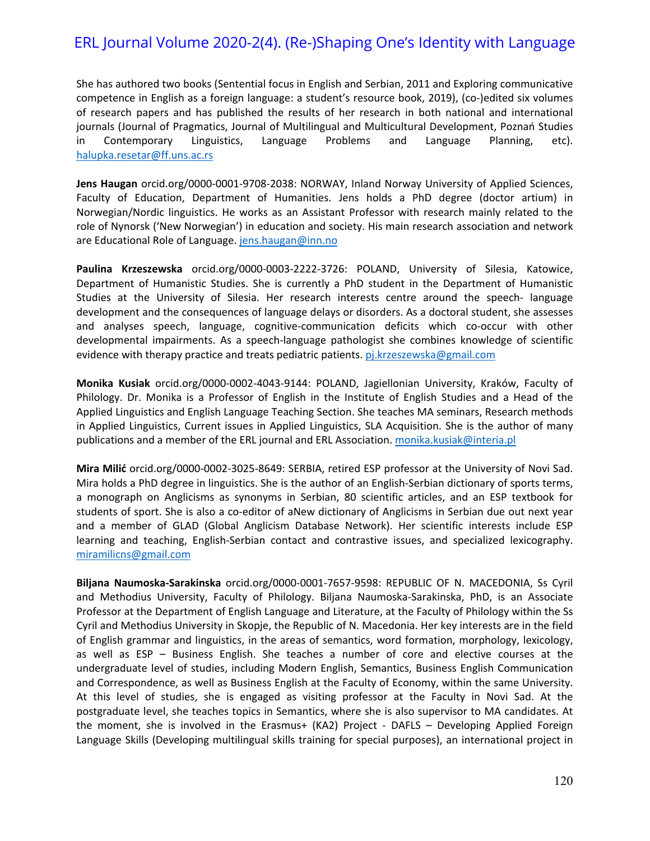## ERL Journal Volume 2020-2(4). (Re-)Shaping One's Identity with Language

She has authored two books (Sentential focus in English and Serbian, 2011 and Exploring communicative competence in English as a foreign language: a student's resource book, 2019), (co-)edited six volumes of research papers and has published the results of her research in both national and international journals (Journal of Pragmatics, Journal of Multilingual and Multicultural Development, Poznań Studies in Contemporary Linguistics, Language Problems and Language Planning, etc). [halupka.resetar@ff.uns.ac.rs](mailto:halupka.resetar@ff.uns.ac.rs)

**Jens Haugan** orcid.org/0000-0001-9708-2038: NORWAY, Inland Norway University of Applied Sciences, Faculty of Education, Department of Humanities. Jens holds a PhD degree (doctor artium) in Norwegian/Nordic linguistics. He works as an Assistant Professor with research mainly related to the role of Nynorsk ('New Norwegian') in education and society. His main research association and network are Educational Role of Language. [jens.haugan@inn.no](mailto:jens.haugan@inn.no)

**Paulina Krzeszewska** orcid.org/0000-0003-2222-3726: POLAND, University of Silesia, Katowice, Department of Humanistic Studies. She is currently a PhD student in the Department of Humanistic Studies at the University of Silesia. Her research interests centre around the speech- language development and the consequences of language delays or disorders. As a doctoral student, she assesses and analyses speech, language, cognitive-communication deficits which co-occur with other developmental impairments. As a speech-language pathologist she combines knowledge of scientific evidence with therapy practice and treats pediatric patients. [pj.krzeszewska@gmail.com](mailto:pj.krzeszewska@gmail.com)

**Monika Kusiak** orcid.org/0000-0002-4043-9144: POLAND, Jagiellonian University, Kraków, Faculty of Philology. Dr. Monika is a Professor of English in the Institute of English Studies and a Head of the Applied Linguistics and English Language Teaching Section. She teaches MA seminars, Research methods in Applied Linguistics, Current issues in Applied Linguistics, SLA Acquisition. She is the author of many publications and a member of the ERL journal and ERL Association. [monika.kusiak@interia.pl](mailto:monika.kusiak@interia.pl)

**Mira Milić** orcid.org/0000-0002-3025-8649: SERBIA, retired ESP professor at the University of Novi Sad. Mira holds a PhD degree in linguistics. She is the author of an English-Serbian dictionary of sports terms, a monograph on Anglicisms as synonyms in Serbian, 80 scientific articles, and an ESP textbook for students of sport. She is also a co-editor of aNew dictionary of Anglicisms in Serbian due out next year and a member of GLAD (Global Anglicism Database Network). Her scientific interests include ESP learning and teaching, English-Serbian contact and contrastive issues, and specialized lexicography. [miramilicns@gmail.com](mailto:miramilicns@gmail.com)

**Biljana Naumoska-Sarakinska** orcid.org/0000-0001-7657-9598: REPUBLIC OF N. MACEDONIA, Ss Cyril and Methodius University, Faculty of Philology. Biljana Naumoska-Sarakinska, PhD, is an Associate Professor at the Department of English Language and Literature, at the Faculty of Philology within the Ss Cyril and Methodius University in Skopje, the Republic of N. Macedonia. Her key interests are in the field of English grammar and linguistics, in the areas of semantics, word formation, morphology, lexicology, as well as ESP – Business English. She teaches a number of core and elective courses at the undergraduate level of studies, including Modern English, Semantics, Business English Communication and Correspondence, as well as Business English at the Faculty of Economy, within the same University. At this level of studies, she is engaged as visiting professor at the Faculty in Novi Sad. At the postgraduate level, she teaches topics in Semantics, where she is also supervisor to MA candidates. At the moment, she is involved in the Erasmus+ (KA2) Project - DAFLS – Developing Applied Foreign Language Skills (Developing multilingual skills training for special purposes), an international project in